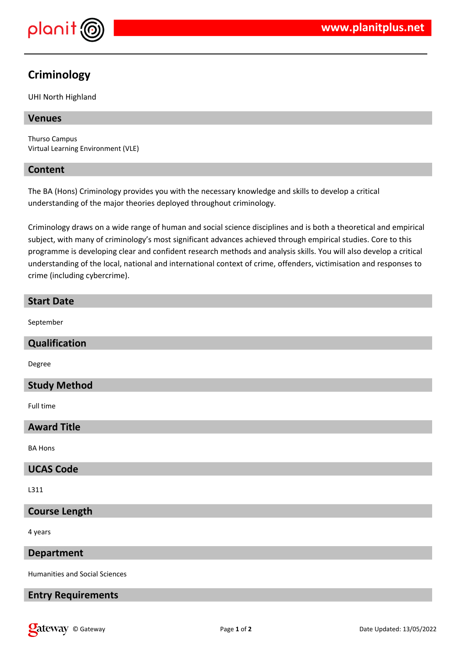

# **Criminology**

UHI North Highland

## **Venues**

Thurso Campus Virtual Learning Environment (VLE)

## **Content**

The BA (Hons) Criminology provides you with the necessary knowledge and skills to develop a critical understanding of the major theories deployed throughout criminology.

Criminology draws on a wide range of human and social science disciplines and is both a theoretical and empirical subject, with many of criminology's most significant advances achieved through empirical studies. Core to this programme is developing clear and confident research methods and analysis skills. You will also develop a critical understanding of the local, national and international context of crime, offenders, victimisation and responses to crime (including cybercrime).

| <b>Start Date</b>    |
|----------------------|
| September            |
| Qualification        |
| Degree               |
| <b>Study Method</b>  |
| Full time            |
| <b>Award Title</b>   |
| <b>BA Hons</b>       |
| <b>UCAS Code</b>     |
| L311                 |
| <b>Course Length</b> |
| 4 years              |
| <b>Department</b>    |

Humanities and Social Sciences

## **Entry Requirements**